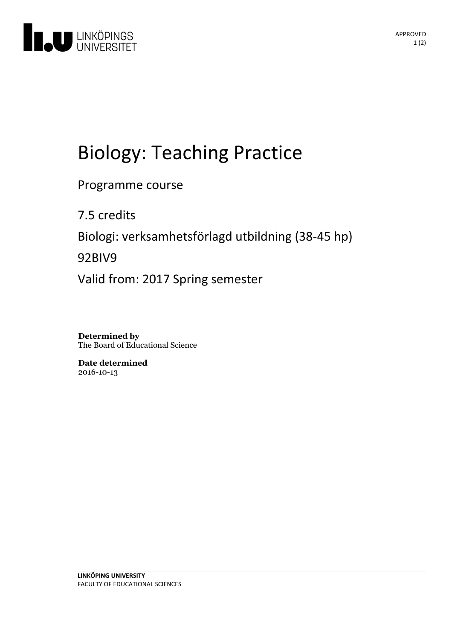

# Biology:Teaching Practice

Programme course

7.5 credits Biologi: verksamhetsförlagd utbildning(38-45 hp) 92BIV9 Valid from: 2017 Spring semester

**Determined by** The Board of Educational Science

**Date determined** 2016-10-13